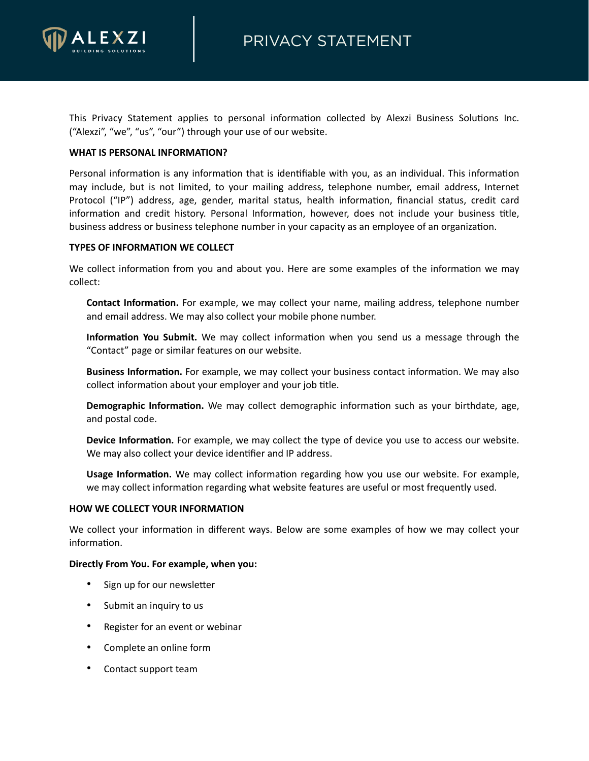

This Privacy Statement applies to personal information collected by Alexzi Business Solutions Inc. ("Alexzi", "we", "us", "our") through your use of our website.

### **WHAT IS PERSONAL INFORMATION?**

Personal information is any information that is identifiable with you, as an individual. This information may include, but is not limited, to your mailing address, telephone number, email address, Internet Protocol ("IP") address, age, gender, marital status, health information, financial status, credit card information and credit history. Personal Information, however, does not include your business title, business address or business telephone number in your capacity as an employee of an organization.

## **TYPES OF INFORMATION WE COLLECT**

We collect information from you and about you. Here are some examples of the information we may collect:

**Contact Information.** For example, we may collect your name, mailing address, telephone number and email address. We may also collect your mobile phone number.

**Information You Submit.** We may collect information when you send us a message through the "Contact" page or similar features on our website.

**Business Information.** For example, we may collect your business contact information. We may also collect information about your employer and your job title.

**Demographic Information.** We may collect demographic information such as your birthdate, age, and postal code.

**Device Information.** For example, we may collect the type of device you use to access our website. We may also collect your device identifier and IP address.

**Usage Information.** We may collect information regarding how you use our website. For example, we may collect information regarding what website features are useful or most frequently used.

### **HOW WE COLLECT YOUR INFORMATION**

We collect your information in different ways. Below are some examples of how we may collect your information.

### **Directly From You. For example, when you:**

- Sign up for our newsletter
- Submit an inquiry to us
- Register for an event or webinar
- Complete an online form
- Contact support team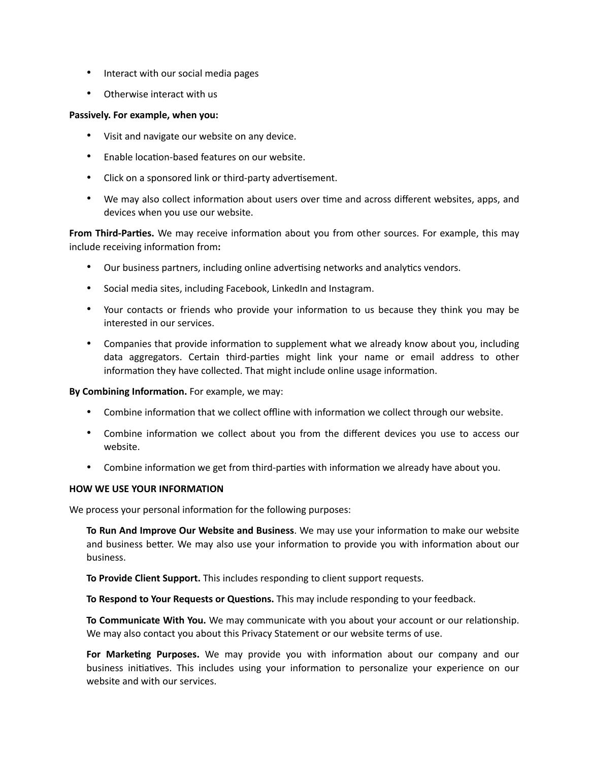- Interact with our social media pages
- Otherwise interact with us

### **Passively. For example, when you:**

- Visit and navigate our website on any device.
- Enable location-based features on our website.
- Click on a sponsored link or third-party advertisement.
- We may also collect information about users over time and across different websites, apps, and devices when you use our website.

**From Third-Parties.** We may receive information about you from other sources. For example, this may include receiving information from**:**

- Our business partners, including online advertising networks and analytics vendors.
- Social media sites, including Facebook, LinkedIn and Instagram.
- Your contacts or friends who provide your information to us because they think you may be interested in our services.
- Companies that provide information to supplement what we already know about you, including data aggregators. Certain third-parties might link your name or email address to other information they have collected. That might include online usage information.

### **By Combining Information.** For example, we may:

- Combine information that we collect offline with information we collect through our website.
- Combine information we collect about you from the different devices you use to access our website.
- Combine information we get from third-parties with information we already have about you.

### **HOW WE USE YOUR INFORMATION**

We process your personal information for the following purposes:

**To Run And Improve Our Website and Business**. We may use your information to make our website and business better. We may also use your information to provide you with information about our business.

**To Provide Client Support.** This includes responding to client support requests.

**To Respond to Your Requests or Questions.** This may include responding to your feedback.

**To Communicate With You.** We may communicate with you about your account or our relationship. We may also contact you about this Privacy Statement or our website terms of use.

**For Marketing Purposes.** We may provide you with information about our company and our business initiatives. This includes using your information to personalize your experience on our website and with our services.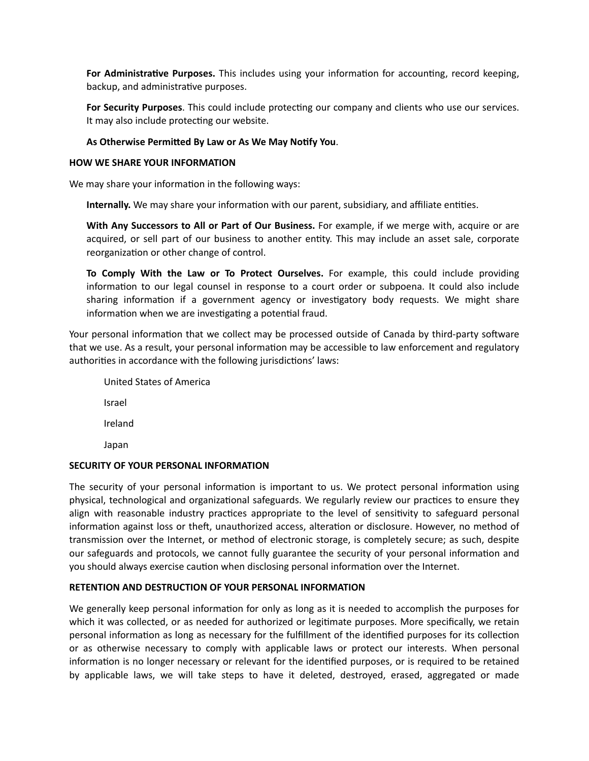**For Administrative Purposes.** This includes using your information for accounting, record keeping, backup, and administrative purposes.

**For Security Purposes**. This could include protecting our company and clients who use our services. It may also include protecting our website.

# **As Otherwise Permitted By Law or As We May Notify You**.

### **HOW WE SHARE YOUR INFORMATION**

We may share your information in the following ways:

**Internally.** We may share your information with our parent, subsidiary, and affiliate entities.

**With Any Successors to All or Part of Our Business.** For example, if we merge with, acquire or are acquired, or sell part of our business to another entity. This may include an asset sale, corporate reorganization or other change of control.

**To Comply With the Law or To Protect Ourselves.** For example, this could include providing information to our legal counsel in response to a court order or subpoena. It could also include sharing information if a government agency or investigatory body requests. We might share information when we are investigating a potential fraud.

Your personal information that we collect may be processed outside of Canada by third-party software that we use. As a result, your personal information may be accessible to law enforcement and regulatory authorities in accordance with the following jurisdictions' laws:

| <b>United States of America</b> |
|---------------------------------|
| Israel                          |
| Ireland                         |
| Japan                           |

### **SECURITY OF YOUR PERSONAL INFORMATION**

The security of your personal information is important to us. We protect personal information using physical, technological and organizational safeguards. We regularly review our practices to ensure they align with reasonable industry practices appropriate to the level of sensitivity to safeguard personal information against loss or theft, unauthorized access, alteration or disclosure. However, no method of transmission over the Internet, or method of electronic storage, is completely secure; as such, despite our safeguards and protocols, we cannot fully guarantee the security of your personal information and you should always exercise caution when disclosing personal information over the Internet.

# **RETENTION AND DESTRUCTION OF YOUR PERSONAL INFORMATION**

We generally keep personal information for only as long as it is needed to accomplish the purposes for which it was collected, or as needed for authorized or legitimate purposes. More specifically, we retain personal information as long as necessary for the fulfillment of the identified purposes for its collection or as otherwise necessary to comply with applicable laws or protect our interests. When personal information is no longer necessary or relevant for the identified purposes, or is required to be retained by applicable laws, we will take steps to have it deleted, destroyed, erased, aggregated or made